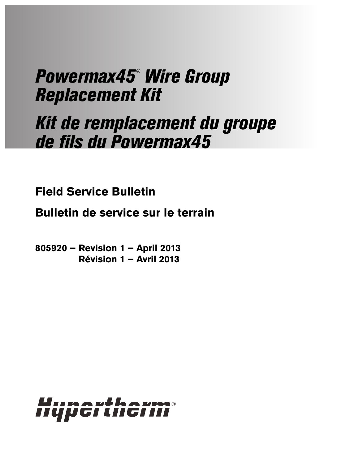# Powermax45® Wire Group Replacement Kit

# Kit de remplacement du groupe de fils du Powermax45

**Field Service Bulletin**

**Bulletin de service sur le terrain**

**805920 – Revision 1 – April 2013 Révision 1 – Avril 2013**

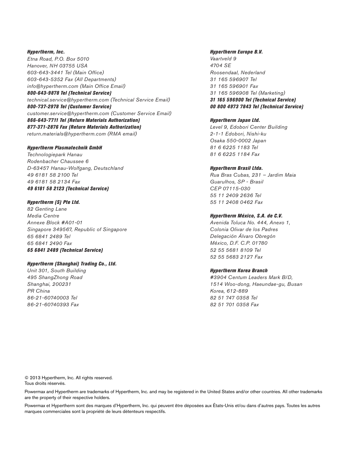Hypertherm, Inc. Etna Road, P.O. Box 5010 Hanover, NH 03755 USA 603-643-3441 Tel (Main Office) 603-643-5352 Fax (All Departments) info@hypertherm.com (Main Office Email) 800-643-9878 Tel (Technical Service)

technical.service@hypertherm.com (Technical Service Email) 800-737-2978 Tel (Customer Service) customer.service@hypertherm.com (Customer Service Email) 866-643-7711 Tel (Return Materials Authorization) 877-371-2876 Fax (Return Materials Authorization) return.materials@hypertherm.com (RMA email)

#### Hypertherm Plasmatechnik GmbH

Technologiepark Hanau Rodenbacher Chaussee 6 D-63457 Hanau-Wolfgang, Deutschland 49 6181 58 2100 Tel 49 6181 58 2134 Fax 49 6181 58 2123 (Technical Service)

#### Hypertherm (S) Pte Ltd.

82 Genting Lane Media Centre Annexe Block #A01-01 Singapore 349567, Republic of Singapore 65 6841 2489 Tel 65 6841 2490 Fax 65 6841 2489 (Technical Service)

#### Hypertherm (Shanghai) Trading Co., Ltd.

Unit 301, South Building 495 ShangZhong Road Shanghai, 200231 PR China 86-21-60740003 Tel 86-21-60740393 Fax

#### Hypertherm Europe B.V.

Vaartveld 9 4704 SE Roosendaal, Nederland 31 165 596907 Tel 31 165 596901 Fax 31 165 596908 Tel (Marketing) 31 165 596900 Tel (Technical Service) 00 800 4973 7843 Tel (Technical Service)

#### Hypertherm Japan Ltd.

Level 9, Edobori Center Building 2-1-1 Edobori, Nishi-ku Osaka 550-0002 Japan 81 6 6225 1183 Tel 81 6 6225 1184 Fax

#### Hypertherm Brasil Ltda.

Rua Bras Cubas, 231 – Jardim Maia Guarulhos, SP - Brasil CEP 07115-030 55 11 2409 2636 Tel 55 11 2408 0462 Fax

#### Hypertherm México, S.A. de C.V.

Avenida Toluca No. 444, Anexo 1, Colonia Olivar de los Padres Delegación Álvaro Obregón México, D.F. C.P. 01780 52 55 5681 8109 Tel 52 55 5683 2127 Fax

#### Hypertherm Korea Branch

#3904 Centum Leaders Mark B/D, 1514 Woo-dong, Haeundae-gu, Busan Korea, 612-889 82 51 747 0358 Tel 82 51 701 0358 Fax

© 2013 Hypertherm, Inc. All rights reserved. Tous droits réservés.

Powermax and Hypertherm are trademarks of Hypertherm, Inc. and may be registered in the United States and/or other countries. All other trademarks are the property of their respective holders.

Powermax et Hypertherm sont des marques d'Hypertherm, Inc. qui peuvent être déposées aux États-Unis et/ou dans d'autres pays. Toutes les autres marques commerciales sont la propriété de leurs détenteurs respectifs.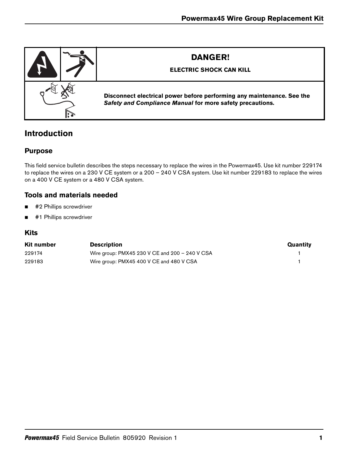

# **Introduction**

## **Purpose**

This field service bulletin describes the steps necessary to replace the wires in the Powermax45. Use kit number 229174 to replace the wires on a 230 V CE system or a 200 – 240 V CSA system. Use kit number 229183 to replace the wires on a 400 V CE system or a 480 V CSA system.

## **Tools and materials needed**

- #2 Phillips screwdriver
- #1 Phillips screwdriver

## **Kits**

| Kit number | <b>Description</b>                             | Quantity |
|------------|------------------------------------------------|----------|
| 229174     | Wire group: PMX45 230 V CE and 200 - 240 V CSA |          |
| 229183     | Wire group: PMX45 400 V CE and 480 V CSA       |          |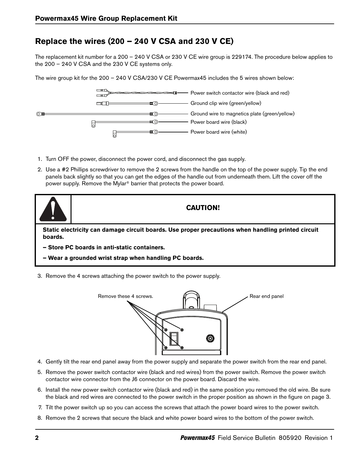# **Replace the wires (200 – 240 V CSA and 230 V CE)**

The replacement kit number for a 200 – 240 V CSA or 230 V CE wire group is 229174. The procedure below applies to the 200 – 240 V CSA and the 230 V CE systems only.

The wire group kit for the 200 – 240 V CSA/230 V CE Powermax45 includes the 5 wires shown below:



- 1. Turn OFF the power, disconnect the power cord, and disconnect the gas supply.
- 2. Use a #2 Phillips screwdriver to remove the 2 screws from the handle on the top of the power supply. Tip the end panels back slightly so that you can get the edges of the handle out from underneath them. Lift the cover off the power supply. Remove the Mylar® barrier that protects the power board.



### **CAUTION!**

**Static electricity can damage circuit boards. Use proper precautions when handling printed circuit boards.**

- **Store PC boards in anti-static containers.**
- **Wear a grounded wrist strap when handling PC boards.**
- 3. Remove the 4 screws attaching the power switch to the power supply.



- 4. Gently tilt the rear end panel away from the power supply and separate the power switch from the rear end panel.
- 5. Remove the power switch contactor wire (black and red wires) from the power switch. Remove the power switch contactor wire connector from the J6 connector on the power board. Discard the wire.
- 6. Install the new power switch contactor wire (black and red) in the same position you removed the old wire. Be sure the black and red wires are connected to the power switch in the proper position as shown in the figure on [page 3.](#page-4-0)
- 7. Tilt the power switch up so you can access the screws that attach the power board wires to the power switch.
- 8. Remove the 2 screws that secure the black and white power board wires to the bottom of the power switch.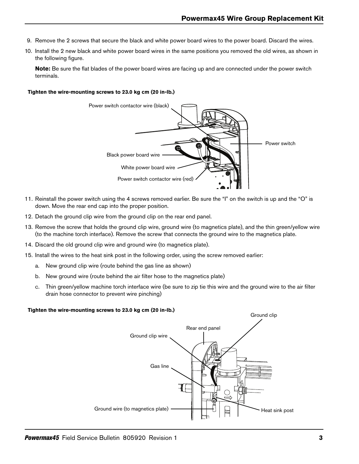- 9. Remove the 2 screws that secure the black and white power board wires to the power board. Discard the wires.
- 10. Install the 2 new black and white power board wires in the same positions you removed the old wires, as shown in the following figure.

<span id="page-4-0"></span>**Note:** Be sure the flat blades of the power board wires are facing up and are connected under the power switch terminals.

#### **Tighten the wire-mounting screws to 23.0 kg cm (20 in-lb.)**



- 11. Reinstall the power switch using the 4 screws removed earlier. Be sure the "I" on the switch is up and the "O" is down. Move the rear end cap into the proper position.
- 12. Detach the ground clip wire from the ground clip on the rear end panel.
- 13. Remove the screw that holds the ground clip wire, ground wire (to magnetics plate), and the thin green/yellow wire (to the machine torch interface). Remove the screw that connects the ground wire to the magnetics plate.
- 14. Discard the old ground clip wire and ground wire (to magnetics plate).
- 15. Install the wires to the heat sink post in the following order, using the screw removed earlier:
	- a. New ground clip wire (route behind the gas line as shown)
	- b. New ground wire (route behind the air filter hose to the magnetics plate)
	- c. Thin green/yellow machine torch interface wire (be sure to zip tie this wire and the ground wire to the air filter drain hose connector to prevent wire pinching)

#### **Tighten the wire-mounting screws to 23.0 kg cm (20 in-lb.)**

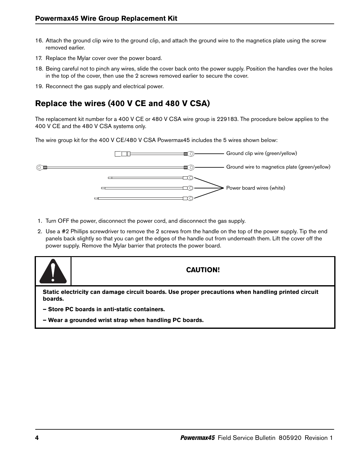- 16. Attach the ground clip wire to the ground clip, and attach the ground wire to the magnetics plate using the screw removed earlier.
- 17. Replace the Mylar cover over the power board.
- 18. Being careful not to pinch any wires, slide the cover back onto the power supply. Position the handles over the holes in the top of the cover, then use the 2 screws removed earlier to secure the cover.
- 19. Reconnect the gas supply and electrical power.

# **Replace the wires (400 V CE and 480 V CSA)**

The replacement kit number for a 400 V CE or 480 V CSA wire group is 229183. The procedure below applies to the 400 V CE and the 480 V CSA systems only.

The wire group kit for the 400 V CE/480 V CSA Powermax45 includes the 5 wires shown below:



- 1. Turn OFF the power, disconnect the power cord, and disconnect the gas supply.
- 2. Use a #2 Phillips screwdriver to remove the 2 screws from the handle on the top of the power supply. Tip the end panels back slightly so that you can get the edges of the handle out from underneath them. Lift the cover off the power supply. Remove the Mylar barrier that protects the power board.



## **CAUTION!**

**Static electricity can damage circuit boards. Use proper precautions when handling printed circuit boards.**

- **Store PC boards in anti-static containers.**
- **Wear a grounded wrist strap when handling PC boards.**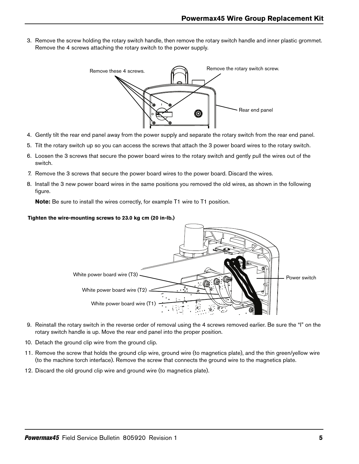3. Remove the screw holding the rotary switch handle, then remove the rotary switch handle and inner plastic grommet. Remove the 4 screws attaching the rotary switch to the power supply.



- 4. Gently tilt the rear end panel away from the power supply and separate the rotary switch from the rear end panel.
- 5. Tilt the rotary switch up so you can access the screws that attach the 3 power board wires to the rotary switch.
- 6. Loosen the 3 screws that secure the power board wires to the rotary switch and gently pull the wires out of the switch.
- 7. Remove the 3 screws that secure the power board wires to the power board. Discard the wires.
- 8. Install the 3 new power board wires in the same positions you removed the old wires, as shown in the following figure.

**Note:** Be sure to install the wires correctly, for example T1 wire to T1 position.

#### **Tighten the wire-mounting screws to 23.0 kg cm (20 in-lb.)**



- 9. Reinstall the rotary switch in the reverse order of removal using the 4 screws removed earlier. Be sure the "I" on the rotary switch handle is up. Move the rear end panel into the proper position.
- 10. Detach the ground clip wire from the ground clip.
- 11. Remove the screw that holds the ground clip wire, ground wire (to magnetics plate), and the thin green/yellow wire (to the machine torch interface). Remove the screw that connects the ground wire to the magnetics plate.
- 12. Discard the old ground clip wire and ground wire (to magnetics plate).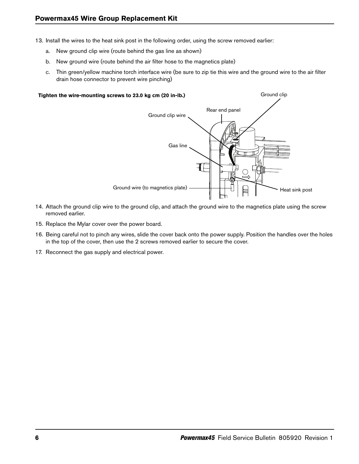- 13. Install the wires to the heat sink post in the following order, using the screw removed earlier:
	- a. New ground clip wire (route behind the gas line as shown)
	- b. New ground wire (route behind the air filter hose to the magnetics plate)
	- c. Thin green/yellow machine torch interface wire (be sure to zip tie this wire and the ground wire to the air filter drain hose connector to prevent wire pinching)

#### **Tighten the wire-mounting screws to 23.0 kg cm (20 in-lb.)**



Ground clip

- 14. Attach the ground clip wire to the ground clip, and attach the ground wire to the magnetics plate using the screw removed earlier.
- 15. Replace the Mylar cover over the power board.
- 16. Being careful not to pinch any wires, slide the cover back onto the power supply. Position the handles over the holes in the top of the cover, then use the 2 screws removed earlier to secure the cover.
- 17. Reconnect the gas supply and electrical power.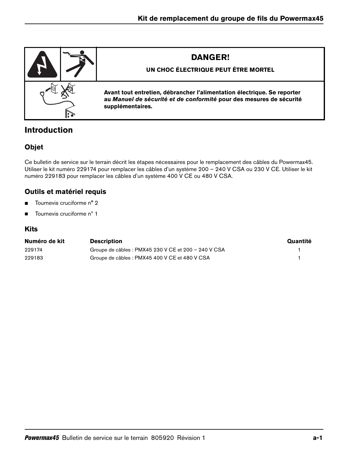

# **Introduction**

# **Objet**

Ce bulletin de service sur le terrain décrit les étapes nécessaires pour le remplacement des câbles du Powermax45. Utiliser le kit numéro 229174 pour remplacer les câbles d'un système 200 – 240 V CSA ou 230 V CE. Utiliser le kit numéro 229183 pour remplacer les câbles d'un système 400 V CE ou 480 V CSA.

## **Outils et matériel requis**

- Tournevis cruciforme n° 2
- $\blacksquare$  Tournevis cruciforme n° 1

## **Kits**

| Numéro de kit | <b>Description</b>                                   | Quantité |
|---------------|------------------------------------------------------|----------|
| 229174        | Groupe de câbles : PMX45 230 V CE et 200 - 240 V CSA |          |
| 229183        | Groupe de câbles : PMX45 400 V CE et 480 V CSA       |          |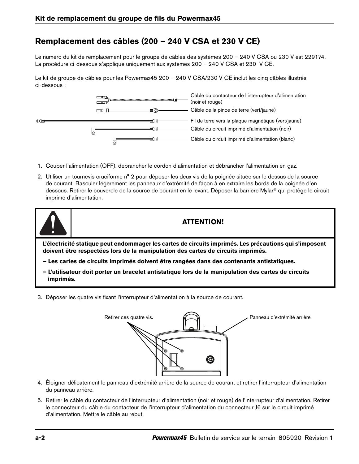# **Remplacement des câbles (200 – 240 V CSA et 230 V CE)**

Le numéro du kit de remplacement pour le groupe de câbles des systèmes 200 – 240 V CSA ou 230 V est 229174. La procédure ci-dessous s'applique uniquement aux systèmes 200 – 240 V CSA et 230 V CE.

Le kit de groupe de câbles pour les Powermax45 200 – 240 V CSA/230 V CE inclut les cinq câbles illustrés ci-dessous :



- 1. Couper l'alimentation (OFF), débrancher le cordon d'alimentation et débrancher l'alimentation en gaz.
- 2. Utiliser un tournevis cruciforme n° 2 pour déposer les deux vis de la poignée située sur le dessus de la source de courant. Basculer légèrement les panneaux d'extrémité de façon à en extraire les bords de la poignée d'en dessous. Retirer le couvercle de la source de courant en le levant. Déposer la barrière Mylar® qui protège le circuit imprimé d'alimentation.



**L'électricité statique peut endommager les cartes de circuits imprimés. Les précautions qui s'imposent doivent être respectées lors de la manipulation des cartes de circuits imprimés.**

- **Les cartes de circuits imprimés doivent être rangées dans des contenants antistatiques.**
- **L'utilisateur doit porter un bracelet antistatique lors de la manipulation des cartes de circuits imprimés.**
- 3. Déposer les quatre vis fixant l'interrupteur d'alimentation à la source de courant.



- 4. Éloigner délicatement le panneau d'extrémité arrière de la source de courant et retirer l'interrupteur d'alimentation du panneau arrière.
- 5. Retirer le câble du contacteur de l'interrupteur d'alimentation (noir et rouge) de l'interrupteur d'alimentation. Retirer le connecteur du câble du contacteur de l'interrupteur d'alimentation du connecteur J6 sur le circuit imprimé d'alimentation. Mettre le câble au rebut.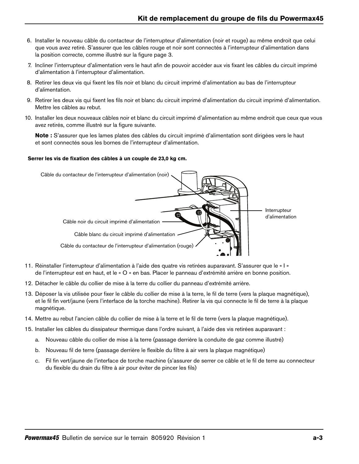- 6. Installer le nouveau câble du contacteur de l'interrupteur d'alimentation (noir et rouge) au même endroit que celui que vous avez retiré. S'assurer que les câbles rouge et noir sont connectés à l'interrupteur d'alimentation dans la position correcte, comme illustré sur la figure [page 3.](#page-10-0)
- 7. Incliner l'interrupteur d'alimentation vers le haut afin de pouvoir accéder aux vis fixant les câbles du circuit imprimé d'alimentation à l'interrupteur d'alimentation.
- 8. Retirer les deux vis qui fixent les fils noir et blanc du circuit imprimé d'alimentation au bas de l'interrupteur d'alimentation.
- 9. Retirer les deux vis qui fixent les fils noir et blanc du circuit imprimé d'alimentation du circuit imprimé d'alimentation. Mettre les câbles au rebut.
- 10. Installer les deux nouveaux câbles noir et blanc du circuit imprimé d'alimentation au même endroit que ceux que vous avez retirés, comme illustré sur la figure suivante.

<span id="page-10-0"></span>**Note :** S'assurer que les lames plates des câbles du circuit imprimé d'alimentation sont dirigées vers le haut et sont connectés sous les bornes de l'interrupteur d'alimentation.

#### **Serrer les vis de fixation des câbles à un couple de 23,0 kg cm.**



- 11. Réinstaller l'interrupteur d'alimentation à l'aide des quatre vis retirées auparavant. S'assurer que le « I » de l'interrupteur est en haut, et le « O » en bas. Placer le panneau d'extrémité arrière en bonne position.
- 12. Détacher le câble du collier de mise à la terre du collier du panneau d'extrémité arrière.
- 13. Déposer la vis utilisée pour fixer le câble du collier de mise à la terre, le fil de terre (vers la plaque magnétique), et le fil fin vert/jaune (vers l'interface de la torche machine). Retirer la vis qui connecte le fil de terre à la plaque magnétique.
- 14. Mettre au rebut l'ancien câble du collier de mise à la terre et le fil de terre (vers la plaque magnétique).
- 15. Installer les câbles du dissipateur thermique dans l'ordre suivant, à l'aide des vis retirées auparavant :
	- a. Nouveau câble du collier de mise à la terre (passage derrière la conduite de gaz comme illustré)
	- b. Nouveau fil de terre (passage derrière le flexible du filtre à air vers la plaque magnétique)
	- c. Fil fin vert/jaune de l'interface de torche machine (s'assurer de serrer ce câble et le fil de terre au connecteur du flexible du drain du filtre à air pour éviter de pincer les fils)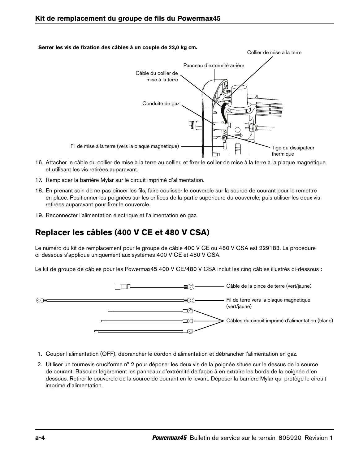# Collier de mise à la terre Panneau d'extrémité arrière Câble du collier de mise à la terre Conduite de gaz 7 Fil de mise à la terre (vers la plaque magnétique)  $\begin{array}{c} \begin{array}{c} \begin{array}{ccc} \end{array} & \begin{array}{cc} \end{array} & \end{array} \end{array}$  Tige du dissipateur thermique

- 16. Attacher le câble du collier de mise à la terre au collier, et fixer le collier de mise à la terre à la plaque magnétique et utilisant les vis retirées auparavant.
- 17. Remplacer la barrière Mylar sur le circuit imprimé d'alimentation.
- 18. En prenant soin de ne pas pincer les fils, faire coulisser le couvercle sur la source de courant pour le remettre en place. Positionner les poignées sur les orifices de la partie supérieure du couvercle, puis utiliser les deux vis retirées auparavant pour fixer le couvercle.
- 19. Reconnecter l'alimentation électrique et l'alimentation en gaz.

# **Replacer les câbles (400 V CE et 480 V CSA)**

Le numéro du kit de remplacement pour le groupe de câble 400 V CE ou 480 V CSA est 229183. La procédure ci-dessous s'applique uniquement aux systèmes 400 V CE et 480 V CSA.

Le kit de groupe de câbles pour les Powermax45 400 V CE/480 V CSA inclut les cinq câbles illustrés ci-dessous :



- 1. Couper l'alimentation (OFF), débrancher le cordon d'alimentation et débrancher l'alimentation en gaz.
- 2. Utiliser un tournevis cruciforme n° 2 pour déposer les deux vis de la poignée située sur le dessus de la source de courant. Basculer légèrement les panneaux d'extrémité de façon à en extraire les bords de la poignée d'en dessous. Retirer le couvercle de la source de courant en le levant. Déposer la barrière Mylar qui protège le circuit imprimé d'alimentation.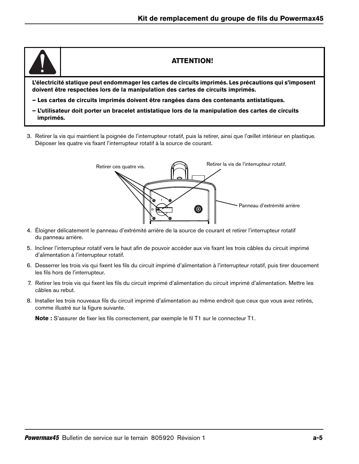

## **ATTENTION!**

**L'électricité statique peut endommager les cartes de circuits imprimés. Les précautions qui s'imposent doivent être respectées lors de la manipulation des cartes de circuits imprimés.**

- **Les cartes de circuits imprimés doivent être rangées dans des contenants antistatiques.**
- **L'utilisateur doit porter un bracelet antistatique lors de la manipulation des cartes de circuits imprimés.**
- 3. Retirer la vis qui maintient la poignée de l'interrupteur rotatif, puis la retirer, ainsi que l'œillet intérieur en plastique. Déposer les quatre vis fixant l'interrupteur rotatif à la source de courant.



- 4. Éloigner délicatement le panneau d'extrémité arrière de la source de courant et retirer l'interrupteur rotatif du panneau arrière.
- 5. Incliner l'interrupteur rotatif vers le haut afin de pouvoir accéder aux vis fixant les trois câbles du circuit imprimé d'alimentation à l'interrupteur rotatif.
- 6. Desserrer les trois vis qui fixent les fils du circuit imprimé d'alimentation à l'interrupteur rotatif, puis tirer doucement les fils hors de l'interrupteur.
- 7. Retirer les trois vis qui fixent les fils du circuit imprimé d'alimentation du circuit imprimé d'alimentation. Mettre les câbles au rebut.
- 8. Installer les trois nouveaux fils du circuit imprimé d'alimentation au même endroit que ceux que vous avez retirés, comme illustré sur la figure suivante.

**Note :** S'assurer de fixer les fils correctement, par exemple le fil T1 sur le connecteur T1.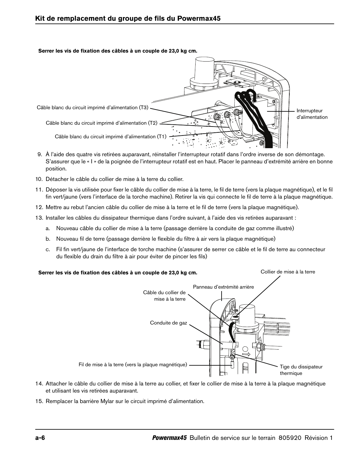**Serrer les vis de fixation des câbles à un couple de 23,0 kg cm.**



- 9. À l'aide des quatre vis retirées auparavant, réinstaller l'interrupteur rotatif dans l'ordre inverse de son démontage. S'assurer que le « I » de la poignée de l'interrupteur rotatif est en haut. Placer le panneau d'extrémité arrière en bonne position.
- 10. Détacher le câble du collier de mise à la terre du collier.
- 11. Déposer la vis utilisée pour fixer le câble du collier de mise à la terre, le fil de terre (vers la plaque magnétique), et le fil fin vert/jaune (vers l'interface de la torche machine). Retirer la vis qui connecte le fil de terre à la plaque magnétique.
- 12. Mettre au rebut l'ancien câble du collier de mise à la terre et le fil de terre (vers la plaque magnétique).
- 13. Installer les câbles du dissipateur thermique dans l'ordre suivant, à l'aide des vis retirées auparavant :
	- a. Nouveau câble du collier de mise à la terre (passage derrière la conduite de gaz comme illustré)
	- b. Nouveau fil de terre (passage derrière le flexible du filtre à air vers la plaque magnétique)
	- c. Fil fin vert/jaune de l'interface de torche machine (s'assurer de serrer ce câble et le fil de terre au connecteur du flexible du drain du filtre à air pour éviter de pincer les fils)

#### **Serrer les vis de fixation des câbles à un couple de 23,0 kg cm.**

Collier de mise à la terre



- 14. Attacher le câble du collier de mise à la terre au collier, et fixer le collier de mise à la terre à la plaque magnétique et utilisant les vis retirées auparavant.
- 15. Remplacer la barrière Mylar sur le circuit imprimé d'alimentation.